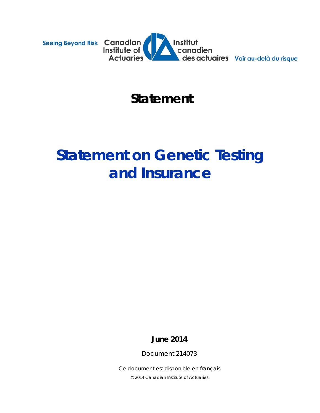



# *Statement*

# **Statement on Genetic Testing and Insurance**

**June 2014**

Document 214073

*Ce document est disponible en français © 2014 Canadian Institute of Actuaries*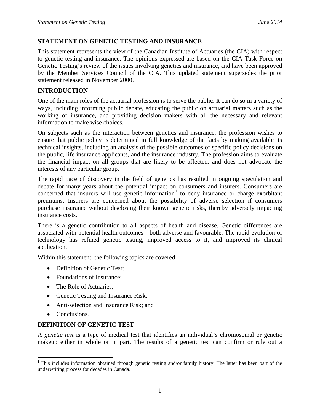#### **STATEMENT ON GENETIC TESTING AND INSURANCE**

This statement represents the view of the Canadian Institute of Actuaries (the CIA) with respect to genetic testing and insurance. The opinions expressed are based on the CIA Task Force on Genetic Testing's review of the issues involving genetics and insurance, and have been approved by the Member Services Council of the CIA. This updated statement supersedes the prior statement released in November 2000.

#### **INTRODUCTION**

One of the main roles of the actuarial profession is to serve the public. It can do so in a variety of ways, including informing public debate, educating the public on actuarial matters such as the working of insurance, and providing decision makers with all the necessary and relevant information to make wise choices.

On subjects such as the interaction between genetics and insurance, the profession wishes to ensure that public policy is determined in full knowledge of the facts by making available its technical insights, including an analysis of the possible outcomes of specific policy decisions on the public, life insurance applicants, and the insurance industry. The profession aims to evaluate the financial impact on all groups that are likely to be affected, and does not advocate the interests of any particular group.

The rapid pace of discovery in the field of genetics has resulted in ongoing speculation and debate for many years about the potential impact on consumers and insurers. Consumers are concerned that insurers will use genetic information<sup>[1](#page-1-0)</sup> to deny insurance or charge exorbitant premiums. Insurers are concerned about the possibility of adverse selection if consumers purchase insurance without disclosing their known genetic risks, thereby adversely impacting insurance costs.

There is a genetic contribution to all aspects of health and disease. Genetic differences are associated with potential health outcomes—both adverse and favourable. The rapid evolution of technology has refined genetic testing, improved access to it, and improved its clinical application.

Within this statement, the following topics are covered:

- Definition of Genetic Test:
- Foundations of Insurance:
- The Role of Actuaries;
- Genetic Testing and Insurance Risk;
- Anti-selection and Insurance Risk; and
- Conclusions.

### **DEFINITION OF GENETIC TEST**

A *genetic test* is a type of medical test that identifies an individual's chromosomal or genetic makeup either in whole or in part. The results of a genetic test can confirm or rule out a

<span id="page-1-0"></span><sup>&</sup>lt;sup>1</sup> This includes information obtained through genetic testing and/or family history. The latter has been part of the underwriting process for decades in Canada.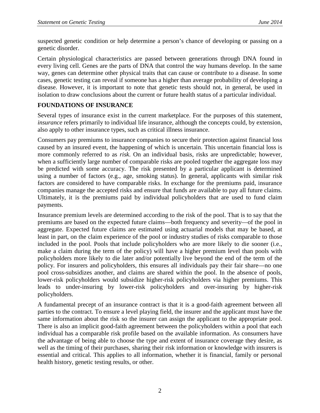suspected genetic condition or help determine a person's chance of developing or passing on a genetic disorder.

Certain physiological characteristics are passed between generations through DNA found in every living cell. Genes are the parts of DNA that control the way humans develop. In the same way, genes can determine other physical traits that can cause or contribute to a disease. In some cases, genetic testing can reveal if someone has a higher than average probability of developing a disease. However, it is important to note that genetic tests should not, in general, be used in isolation to draw conclusions about the current or future health status of a particular individual.

# **FOUNDATIONS OF INSURANCE**

Several types of insurance exist in the current marketplace. For the purposes of this statement, *insurance* refers primarily to individual life insurance, although the concepts could, by extension, also apply to other insurance types, such as critical illness insurance.

Consumers pay premiums to insurance companies to secure their protection against financial loss caused by an insured event, the happening of which is uncertain. This uncertain financial loss is more commonly referred to as *risk*. On an individual basis, risks are unpredictable; however, when a sufficiently large number of comparable risks are pooled together the aggregate loss may be predicted with some accuracy. The risk presented by a particular applicant is determined using a number of factors (e.g., age, smoking status). In general, applicants with similar risk factors are considered to have comparable risks. In exchange for the premiums paid, insurance companies manage the accepted risks and ensure that funds are available to pay all future claims. Ultimately, it is the premiums paid by individual policyholders that are used to fund claim payments.

Insurance premium levels are determined according to the risk of the pool. That is to say that the premiums are based on the expected future claims—both frequency and severity—of the pool in aggregate. Expected future claims are estimated using actuarial models that may be based, at least in part, on the claim experience of the pool or industry studies of risks comparable to those included in the pool. Pools that include policyholders who are more likely to die sooner (i.e., make a claim during the term of the policy) will have a higher premium level than pools with policyholders more likely to die later and/or potentially live beyond the end of the term of the policy. For insurers and policyholders, this ensures all individuals pay their fair share—no one pool cross-subsidizes another, and claims are shared within the pool. In the absence of pools, lower-risk policyholders would subsidize higher-risk policyholders via higher premiums. This leads to under-insuring by lower-risk policyholders and over-insuring by higher-risk policyholders.

A fundamental precept of an insurance contract is that it is a good-faith agreement between all parties to the contract. To ensure a level playing field, the insurer and the applicant must have the same information about the risk so the insurer can assign the applicant to the appropriate pool. There is also an implicit good-faith agreement between the policyholders within a pool that each individual has a comparable risk profile based on the available information. As consumers have the advantage of being able to choose the type and extent of insurance coverage they desire, as well as the timing of their purchases, sharing their risk information or knowledge with insurers is essential and critical. This applies to all information, whether it is financial, family or personal health history, genetic testing results, or other.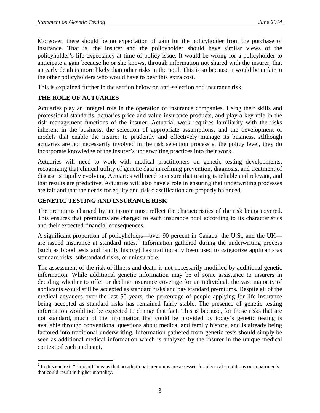Moreover, there should be no expectation of gain for the policyholder from the purchase of insurance. That is, the insurer and the policyholder should have similar views of the policyholder's life expectancy at time of policy issue. It would be wrong for a policyholder to anticipate a gain because he or she knows, through information not shared with the insurer, that an early death is more likely than other risks in the pool. This is so because it would be unfair to the other policyholders who would have to bear this extra cost.

This is explained further in the section below on anti-selection and insurance risk.

# **THE ROLE OF ACTUARIES**

Actuaries play an integral role in the operation of insurance companies. Using their skills and professional standards, actuaries price and value insurance products, and play a key role in the risk management functions of the insurer. Actuarial work requires familiarity with the risks inherent in the business, the selection of appropriate assumptions, and the development of models that enable the insurer to prudently and effectively manage its business. Although actuaries are not necessarily involved in the risk selection process at the policy level, they do incorporate knowledge of the insurer's underwriting practices into their work.

Actuaries will need to work with medical practitioners on genetic testing developments, recognizing that clinical utility of genetic data in refining prevention, diagnosis, and treatment of disease is rapidly evolving. Actuaries will need to ensure that testing is reliable and relevant, and that results are predictive. Actuaries will also have a role in ensuring that underwriting processes are fair and that the needs for equity and risk classification are properly balanced.

### **GENETIC TESTING AND INSURANCE RISK**

The premiums charged by an insurer must reflect the characteristics of the risk being covered. This ensures that premiums are charged to each insurance pool according to its characteristics and their expected financial consequences.

A significant proportion of policyholders—over 90 percent in Canada, the U.S., and the UK— are issued insurance at standard rates.<sup>[2](#page-3-0)</sup> Information gathered during the underwriting process (such as blood tests and family history) has traditionally been used to categorize applicants as standard risks, substandard risks, or uninsurable.

The assessment of the risk of illness and death is not necessarily modified by additional genetic information. While additional genetic information may be of some assistance to insurers in deciding whether to offer or decline insurance coverage for an individual, the vast majority of applicants would still be accepted as standard risks and pay standard premiums. Despite all of the medical advances over the last 50 years, the percentage of people applying for life insurance being accepted as standard risks has remained fairly stable. The presence of genetic testing information would not be expected to change that fact. This is because, for those risks that are not standard, much of the information that could be provided by today's genetic testing is available through conventional questions about medical and family history, and is already being factored into traditional underwriting. Information gathered from genetic tests should simply be seen as additional medical information which is analyzed by the insurer in the unique medical context of each applicant.

<span id="page-3-0"></span> $2$  In this context, "standard" means that no additional premiums are assessed for physical conditions or impairments that could result in higher mortality.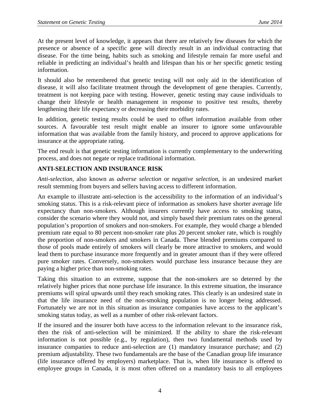At the present level of knowledge, it appears that there are relatively few diseases for which the presence or absence of a specific gene will directly result in an individual contracting that disease. For the time being, habits such as smoking and lifestyle remain far more useful and reliable in predicting an individual's health and lifespan than his or her specific genetic testing information.

It should also be remembered that genetic testing will not only aid in the identification of disease, it will also facilitate treatment through the development of gene therapies. Currently, treatment is not keeping pace with testing. However, genetic testing may cause individuals to change their lifestyle or health management in response to positive test results, thereby lengthening their life expectancy or decreasing their morbidity rates.

In addition, genetic testing results could be used to offset information available from other sources. A favourable test result might enable an insurer to ignore some unfavourable information that was available from the family history, and proceed to approve applications for insurance at the appropriate rating.

The end result is that genetic testing information is currently complementary to the underwriting process, and does not negate or replace traditional information.

### **ANTI-SELECTION AND INSURANCE RISK**

*Anti-selection*, also known as *adverse selection* or *negative selection*, is an undesired market result stemming from buyers and sellers having access to different information.

An example to illustrate anti-selection is the accessibility to the information of an individual's smoking status. This is a risk-relevant piece of information as smokers have shorter average life expectancy than non-smokers. Although insurers currently have access to smoking status, consider the scenario where they would not, and simply based their premium rates on the general population's proportion of smokers and non-smokers. For example, they would charge a blended premium rate equal to 80 percent non-smoker rate plus 20 percent smoker rate, which is roughly the proportion of non-smokers and smokers in Canada. These blended premiums compared to those of pools made entirely of smokers will clearly be more attractive to smokers, and would lead them to purchase insurance more frequently and in greater amount than if they were offered pure smoker rates. Conversely, non-smokers would purchase less insurance because they are paying a higher price than non-smoking rates.

Taking this situation to an extreme, suppose that the non-smokers are so deterred by the relatively higher prices that none purchase life insurance. In this extreme situation, the insurance premiums will spiral upwards until they reach smoking rates. This clearly is an undesired state in that the life insurance need of the non-smoking population is no longer being addressed. Fortunately we are not in this situation as insurance companies have access to the applicant's smoking status today, as well as a number of other risk-relevant factors.

If the insured and the insurer both have access to the information relevant to the insurance risk, then the risk of anti-selection will be minimized. If the ability to share the risk-relevant information is not possible (e.g., by regulation), then two fundamental methods used by insurance companies to reduce anti-selection are (1) mandatory insurance purchase; and (2) premium adjustability. These two fundamentals are the base of the Canadian group life insurance (life insurance offered by employers) marketplace. That is, when life insurance is offered to employee groups in Canada, it is most often offered on a mandatory basis to all employees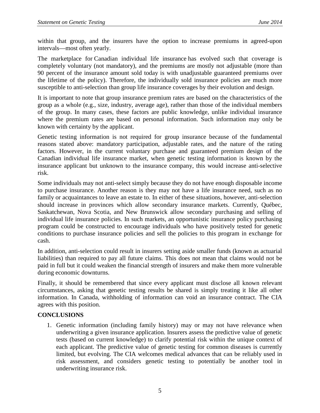within that group, and the insurers have the option to increase premiums in agreed-upon intervals—most often yearly.

The marketplace for Canadian individual life insurance has evolved such that coverage is completely voluntary (not mandatory), and the premiums are mostly not adjustable (more than 90 percent of the insurance amount sold today is with unadjustable guaranteed premiums over the lifetime of the policy). Therefore, the individually sold insurance policies are much more susceptible to anti-selection than group life insurance coverages by their evolution and design.

It is important to note that group insurance premium rates are based on the characteristics of the group as a whole (e.g., size, industry, average age), rather than those of the individual members of the group. In many cases, these factors are public knowledge, unlike individual insurance where the premium rates are based on personal information. Such information may only be known with certainty by the applicant.

Genetic testing information is not required for group insurance because of the fundamental reasons stated above: mandatory participation, adjustable rates, and the nature of the rating factors. However, in the current voluntary purchase and guaranteed premium design of the Canadian individual life insurance market, when genetic testing information is known by the insurance applicant but unknown to the insurance company, this would increase anti-selective risk.

Some individuals may not anti-select simply because they do not have enough disposable income to purchase insurance. Another reason is they may not have a life insurance need, such as no family or acquaintances to leave an estate to. In either of these situations, however, anti-selection should increase in provinces which allow secondary insurance markets. Currently, Québec, Saskatchewan, Nova Scotia, and New Brunswick allow secondary purchasing and selling of individual life insurance policies. In such markets, an opportunistic insurance policy purchasing program could be constructed to encourage individuals who have positively tested for genetic conditions to purchase insurance policies and sell the policies to this program in exchange for cash.

In addition, anti-selection could result in insurers setting aside smaller funds (known as actuarial liabilities) than required to pay all future claims. This does not mean that claims would not be paid in full but it could weaken the financial strength of insurers and make them more vulnerable during economic downturns.

Finally, it should be remembered that since every applicant must disclose all known relevant circumstances, asking that genetic testing results be shared is simply treating it like all other information. In Canada, withholding of information can void an insurance contract. The CIA agrees with this position.

### **CONCLUSIONS**

1. Genetic information (including family history) may or may not have relevance when underwriting a given insurance application. Insurers assess the predictive value of genetic tests (based on current knowledge) to clarify potential risk within the unique context of each applicant. The predictive value of genetic testing for common diseases is currently limited, but evolving. The CIA welcomes medical advances that can be reliably used in risk assessment, and considers genetic testing to potentially be another tool in underwriting insurance risk.